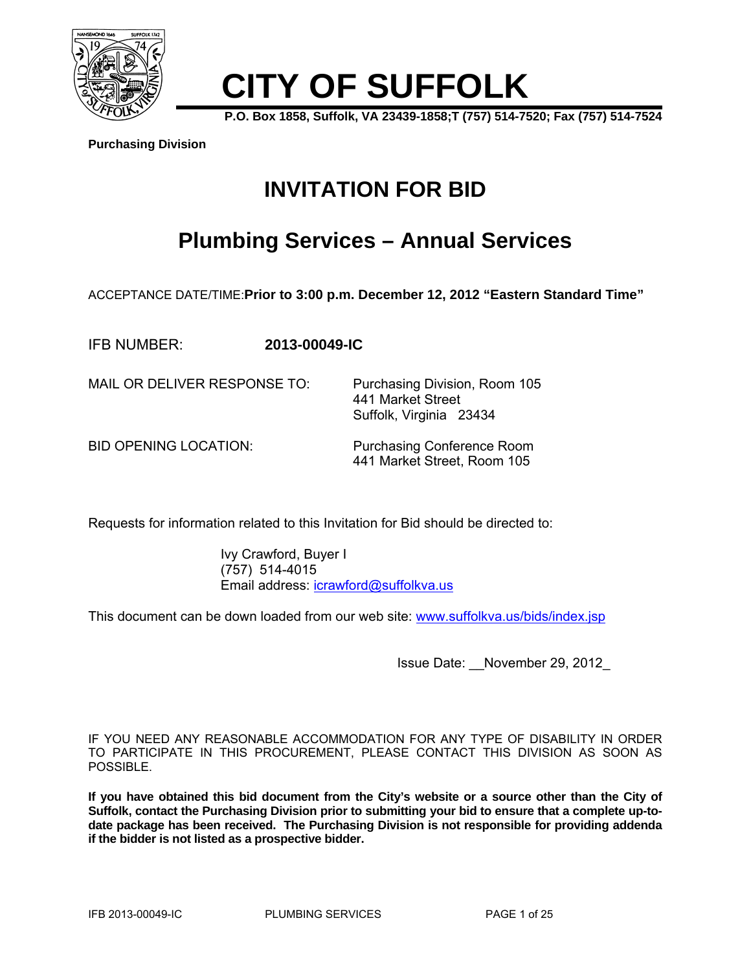

# **CITY OF SUFFOLK**

**P.O. Box 1858, Suffolk, VA 23439-1858;T (757) 514-7520; Fax (757) 514-7524** 

**Purchasing Division**

# **INVITATION FOR BID**

# **Plumbing Services – Annual Services**

ACCEPTANCE DATE/TIME:**Prior to 3:00 p.m. December 12, 2012 "Eastern Standard Time"** 

IFB NUMBER: **2013-00049-IC** 

MAIL OR DELIVER RESPONSE TO: Purchasing Division, Room 105

BID OPENING LOCATION: Purchasing Conference Room 441 Market Street, Room 105

 441 Market Street Suffolk, Virginia 23434

Requests for information related to this Invitation for Bid should be directed to:

 Ivy Crawford, Buyer I (757) 514-4015 Email address: icrawford@suffolkva.us

This document can be down loaded from our web site: www.suffolkva.us/bids/index.jsp

Issue Date: \_\_November 29, 2012\_

IF YOU NEED ANY REASONABLE ACCOMMODATION FOR ANY TYPE OF DISABILITY IN ORDER TO PARTICIPATE IN THIS PROCUREMENT, PLEASE CONTACT THIS DIVISION AS SOON AS POSSIBLE.

**If you have obtained this bid document from the City's website or a source other than the City of Suffolk, contact the Purchasing Division prior to submitting your bid to ensure that a complete up-todate package has been received. The Purchasing Division is not responsible for providing addenda if the bidder is not listed as a prospective bidder.**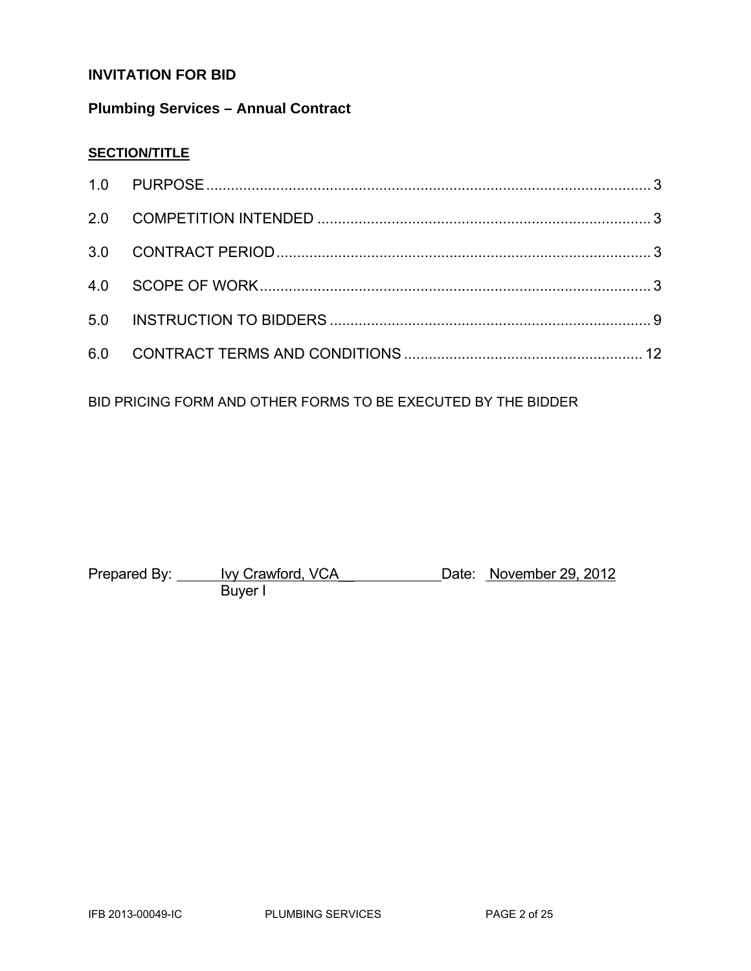# **INVITATION FOR BID**

# **Plumbing Services – Annual Contract**

# **SECTION/TITLE**

BID PRICING FORM AND OTHER FORMS TO BE EXECUTED BY THE BIDDER

Prepared By: <u>Ivy Crawford, VCA</u> Date: November 29, 2012 **Buyer I**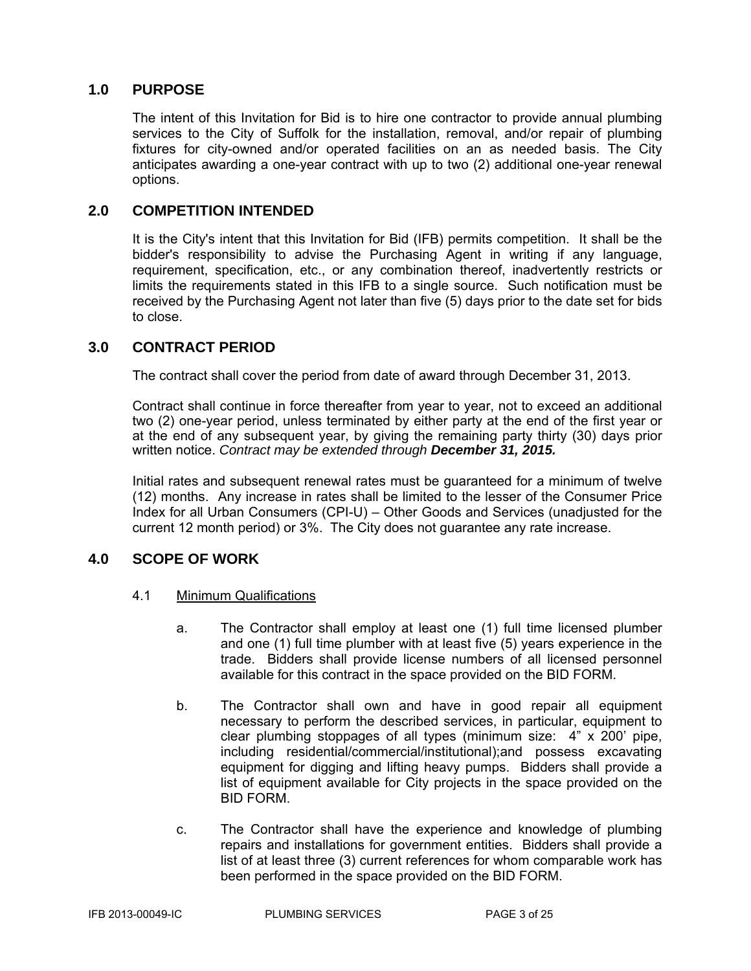# **1.0 PURPOSE**

The intent of this Invitation for Bid is to hire one contractor to provide annual plumbing services to the City of Suffolk for the installation, removal, and/or repair of plumbing fixtures for city-owned and/or operated facilities on an as needed basis. The City anticipates awarding a one-year contract with up to two (2) additional one-year renewal options.

# **2.0 COMPETITION INTENDED**

It is the City's intent that this Invitation for Bid (IFB) permits competition. It shall be the bidder's responsibility to advise the Purchasing Agent in writing if any language, requirement, specification, etc., or any combination thereof, inadvertently restricts or limits the requirements stated in this IFB to a single source. Such notification must be received by the Purchasing Agent not later than five (5) days prior to the date set for bids to close.

# **3.0 CONTRACT PERIOD**

The contract shall cover the period from date of award through December 31, 2013.

Contract shall continue in force thereafter from year to year, not to exceed an additional two (2) one-year period, unless terminated by either party at the end of the first year or at the end of any subsequent year, by giving the remaining party thirty (30) days prior written notice. *Contract may be extended through December 31, 2015.*

Initial rates and subsequent renewal rates must be guaranteed for a minimum of twelve (12) months. Any increase in rates shall be limited to the lesser of the Consumer Price Index for all Urban Consumers (CPI-U) – Other Goods and Services (unadjusted for the current 12 month period) or 3%. The City does not guarantee any rate increase.

# **4.0 SCOPE OF WORK**

- 4.1 Minimum Qualifications
	- a. The Contractor shall employ at least one (1) full time licensed plumber and one (1) full time plumber with at least five (5) years experience in the trade. Bidders shall provide license numbers of all licensed personnel available for this contract in the space provided on the BID FORM.
	- b. The Contractor shall own and have in good repair all equipment necessary to perform the described services, in particular, equipment to clear plumbing stoppages of all types (minimum size: 4" x 200' pipe, including residential/commercial/institutional);and possess excavating equipment for digging and lifting heavy pumps. Bidders shall provide a list of equipment available for City projects in the space provided on the BID FORM.
	- c. The Contractor shall have the experience and knowledge of plumbing repairs and installations for government entities. Bidders shall provide a list of at least three (3) current references for whom comparable work has been performed in the space provided on the BID FORM.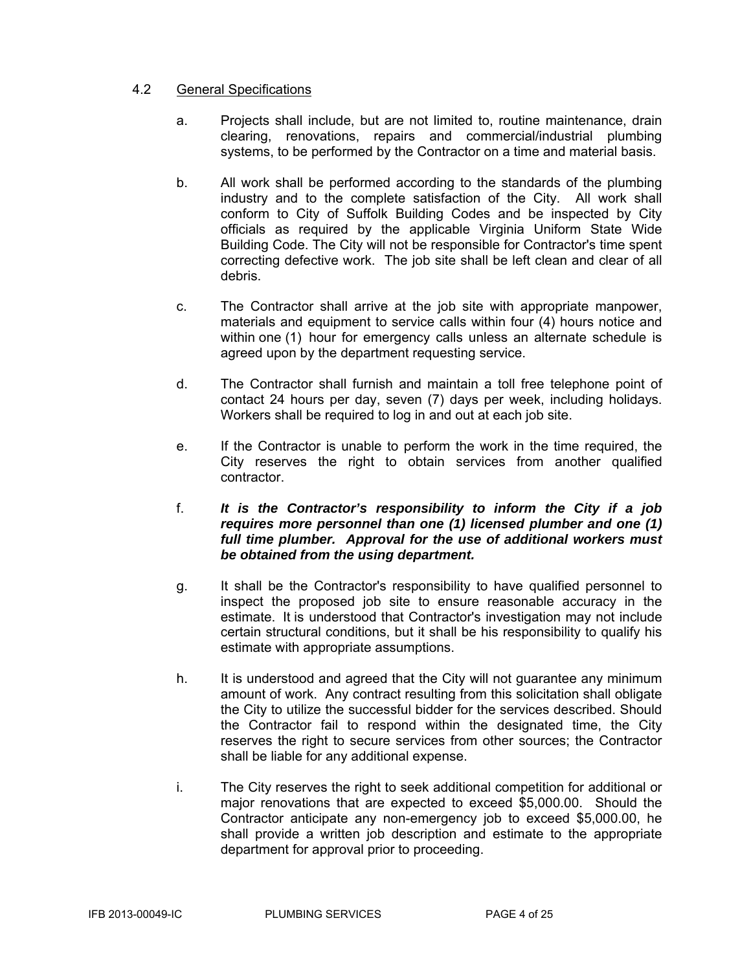# 4.2 General Specifications

- a. Projects shall include, but are not limited to, routine maintenance, drain clearing, renovations, repairs and commercial/industrial plumbing systems, to be performed by the Contractor on a time and material basis.
- b. All work shall be performed according to the standards of the plumbing industry and to the complete satisfaction of the City. All work shall conform to City of Suffolk Building Codes and be inspected by City officials as required by the applicable Virginia Uniform State Wide Building Code. The City will not be responsible for Contractor's time spent correcting defective work. The job site shall be left clean and clear of all debris.
- c. The Contractor shall arrive at the job site with appropriate manpower, materials and equipment to service calls within four (4) hours notice and within one (1) hour for emergency calls unless an alternate schedule is agreed upon by the department requesting service.
- d. The Contractor shall furnish and maintain a toll free telephone point of contact 24 hours per day, seven (7) days per week, including holidays. Workers shall be required to log in and out at each job site.
- e. If the Contractor is unable to perform the work in the time required, the City reserves the right to obtain services from another qualified contractor.
- f. *It is the Contractor's responsibility to inform the City if a job requires more personnel than one (1) licensed plumber and one (1) full time plumber. Approval for the use of additional workers must be obtained from the using department.*
- g. It shall be the Contractor's responsibility to have qualified personnel to inspect the proposed job site to ensure reasonable accuracy in the estimate. It is understood that Contractor's investigation may not include certain structural conditions, but it shall be his responsibility to qualify his estimate with appropriate assumptions.
- h. It is understood and agreed that the City will not guarantee any minimum amount of work. Any contract resulting from this solicitation shall obligate the City to utilize the successful bidder for the services described. Should the Contractor fail to respond within the designated time, the City reserves the right to secure services from other sources; the Contractor shall be liable for any additional expense.
- i. The City reserves the right to seek additional competition for additional or major renovations that are expected to exceed \$5,000.00. Should the Contractor anticipate any non-emergency job to exceed \$5,000.00, he shall provide a written job description and estimate to the appropriate department for approval prior to proceeding.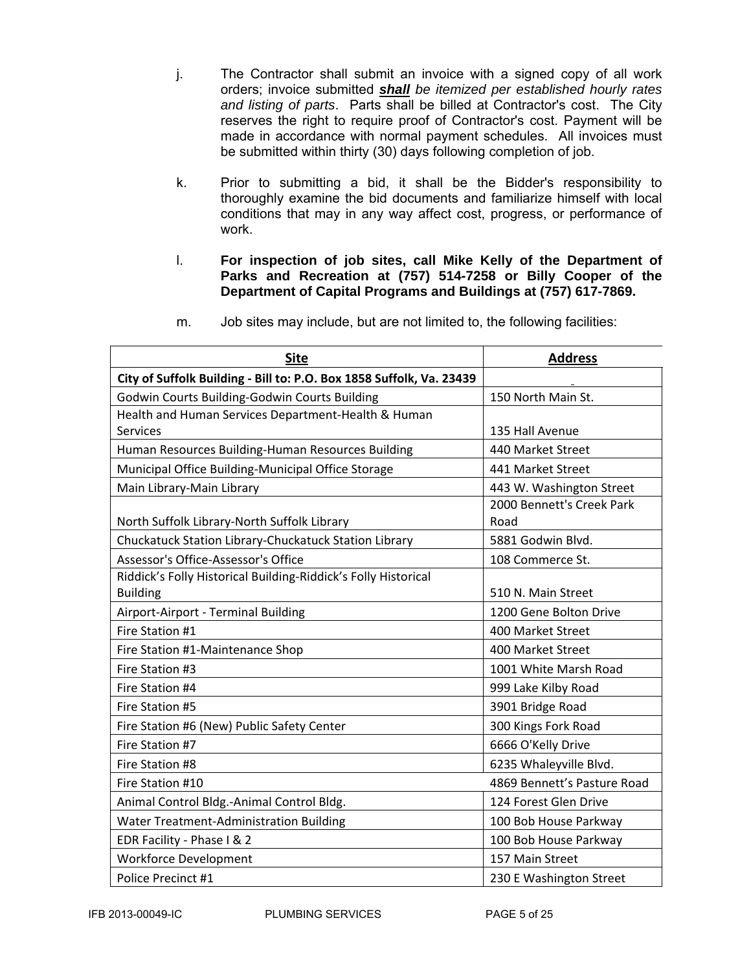- j. The Contractor shall submit an invoice with a signed copy of all work orders; invoice submitted *shall be itemized per established hourly rates and listing of parts*. Parts shall be billed at Contractor's cost. The City reserves the right to require proof of Contractor's cost. Payment will be made in accordance with normal payment schedules. All invoices must be submitted within thirty (30) days following completion of job.
- k. Prior to submitting a bid, it shall be the Bidder's responsibility to thoroughly examine the bid documents and familiarize himself with local conditions that may in any way affect cost, progress, or performance of work.
- l. **For inspection of job sites, call Mike Kelly of the Department of Parks and Recreation at (757) 514-7258 or Billy Cooper of the Department of Capital Programs and Buildings at (757) 617-7869.**

| <b>Site</b>                                                          | <b>Address</b>              |
|----------------------------------------------------------------------|-----------------------------|
| City of Suffolk Building - Bill to: P.O. Box 1858 Suffolk, Va. 23439 |                             |
| Godwin Courts Building-Godwin Courts Building                        | 150 North Main St.          |
| Health and Human Services Department-Health & Human                  |                             |
| <b>Services</b>                                                      | 135 Hall Avenue             |
| Human Resources Building-Human Resources Building                    | 440 Market Street           |
| Municipal Office Building-Municipal Office Storage                   | 441 Market Street           |
| Main Library-Main Library                                            | 443 W. Washington Street    |
|                                                                      | 2000 Bennett's Creek Park   |
| North Suffolk Library-North Suffolk Library                          | Road                        |
| Chuckatuck Station Library-Chuckatuck Station Library                | 5881 Godwin Blvd.           |
| Assessor's Office-Assessor's Office                                  | 108 Commerce St.            |
| Riddick's Folly Historical Building-Riddick's Folly Historical       |                             |
| <b>Building</b>                                                      | 510 N. Main Street          |
| Airport-Airport - Terminal Building                                  | 1200 Gene Bolton Drive      |
| Fire Station #1                                                      | 400 Market Street           |
| Fire Station #1-Maintenance Shop                                     | 400 Market Street           |
| Fire Station #3                                                      | 1001 White Marsh Road       |
| Fire Station #4                                                      | 999 Lake Kilby Road         |
| Fire Station #5                                                      | 3901 Bridge Road            |
| Fire Station #6 (New) Public Safety Center                           | 300 Kings Fork Road         |
| Fire Station #7                                                      | 6666 O'Kelly Drive          |
| Fire Station #8                                                      | 6235 Whaleyville Blvd.      |
| Fire Station #10                                                     | 4869 Bennett's Pasture Road |
| Animal Control Bldg.-Animal Control Bldg.                            | 124 Forest Glen Drive       |
| <b>Water Treatment-Administration Building</b>                       | 100 Bob House Parkway       |
| EDR Facility - Phase I & 2                                           | 100 Bob House Parkway       |
| <b>Workforce Development</b>                                         | 157 Main Street             |
| Police Precinct #1                                                   | 230 E Washington Street     |

m. Job sites may include, but are not limited to, the following facilities: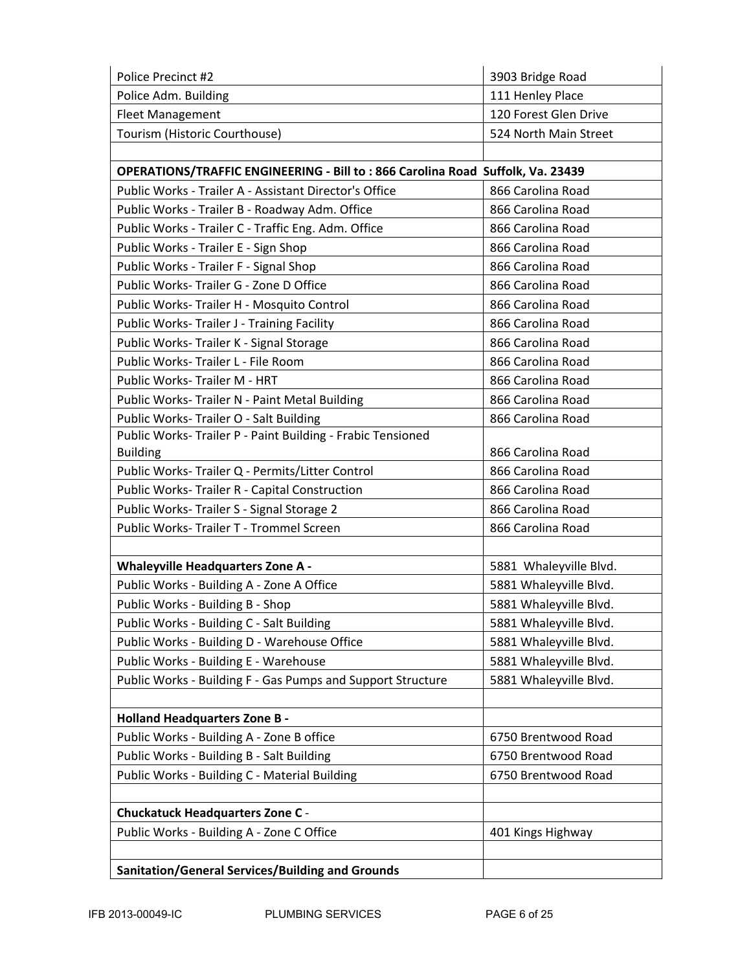| Police Precinct #2                                                             | 3903 Bridge Road       |
|--------------------------------------------------------------------------------|------------------------|
| Police Adm. Building                                                           | 111 Henley Place       |
| <b>Fleet Management</b>                                                        | 120 Forest Glen Drive  |
| Tourism (Historic Courthouse)                                                  | 524 North Main Street  |
|                                                                                |                        |
| OPERATIONS/TRAFFIC ENGINEERING - Bill to: 866 Carolina Road Suffolk, Va. 23439 |                        |
| Public Works - Trailer A - Assistant Director's Office                         | 866 Carolina Road      |
| Public Works - Trailer B - Roadway Adm. Office                                 | 866 Carolina Road      |
| Public Works - Trailer C - Traffic Eng. Adm. Office                            | 866 Carolina Road      |
| Public Works - Trailer E - Sign Shop                                           | 866 Carolina Road      |
| Public Works - Trailer F - Signal Shop                                         | 866 Carolina Road      |
| Public Works-Trailer G - Zone D Office                                         | 866 Carolina Road      |
| Public Works-Trailer H - Mosquito Control                                      | 866 Carolina Road      |
| Public Works- Trailer J - Training Facility                                    | 866 Carolina Road      |
| Public Works- Trailer K - Signal Storage                                       | 866 Carolina Road      |
| Public Works-Trailer L - File Room                                             | 866 Carolina Road      |
| Public Works-Trailer M - HRT                                                   | 866 Carolina Road      |
| Public Works- Trailer N - Paint Metal Building                                 | 866 Carolina Road      |
| Public Works- Trailer O - Salt Building                                        | 866 Carolina Road      |
| Public Works-Trailer P - Paint Building - Frabic Tensioned                     |                        |
| <b>Building</b>                                                                | 866 Carolina Road      |
| Public Works- Trailer Q - Permits/Litter Control                               | 866 Carolina Road      |
| Public Works- Trailer R - Capital Construction                                 | 866 Carolina Road      |
| Public Works-Trailer S - Signal Storage 2                                      | 866 Carolina Road      |
| Public Works- Trailer T - Trommel Screen                                       | 866 Carolina Road      |
|                                                                                |                        |
| <b>Whaleyville Headquarters Zone A -</b>                                       | 5881 Whaleyville Blvd. |
| Public Works - Building A - Zone A Office                                      | 5881 Whaleyville Blvd. |
| Public Works - Building B - Shop                                               | 5881 Whaleyville Blvd. |
| Public Works - Building C - Salt Building                                      | 5881 Whaleyville Blvd. |
| Public Works - Building D - Warehouse Office                                   | 5881 Whaleyville Blvd. |
| Public Works - Building E - Warehouse                                          | 5881 Whaleyville Blvd. |
| Public Works - Building F - Gas Pumps and Support Structure                    | 5881 Whaleyville Blvd. |
|                                                                                |                        |
| <b>Holland Headquarters Zone B -</b>                                           |                        |
| Public Works - Building A - Zone B office                                      | 6750 Brentwood Road    |
| Public Works - Building B - Salt Building                                      | 6750 Brentwood Road    |
| Public Works - Building C - Material Building                                  | 6750 Brentwood Road    |
|                                                                                |                        |
| <b>Chuckatuck Headquarters Zone C -</b>                                        |                        |
| Public Works - Building A - Zone C Office                                      | 401 Kings Highway      |
|                                                                                |                        |
| Sanitation/General Services/Building and Grounds                               |                        |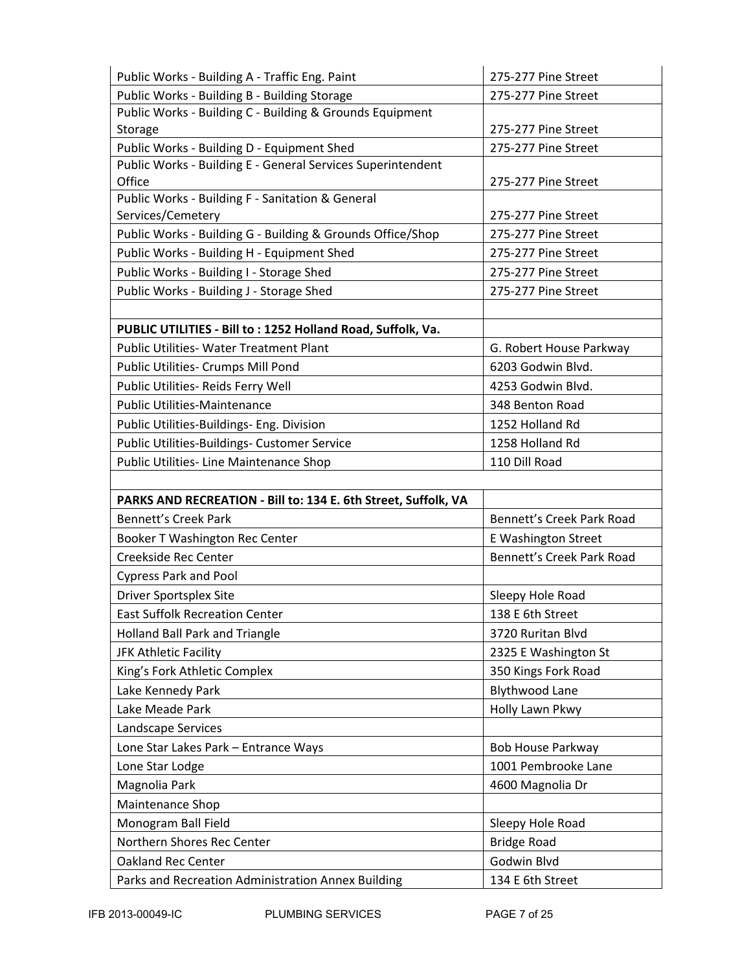| Public Works - Building A - Traffic Eng. Paint                 | 275-277 Pine Street        |
|----------------------------------------------------------------|----------------------------|
| Public Works - Building B - Building Storage                   | 275-277 Pine Street        |
| Public Works - Building C - Building & Grounds Equipment       |                            |
| Storage                                                        | 275-277 Pine Street        |
| Public Works - Building D - Equipment Shed                     | 275-277 Pine Street        |
| Public Works - Building E - General Services Superintendent    |                            |
| Office                                                         | 275-277 Pine Street        |
| Public Works - Building F - Sanitation & General               |                            |
| Services/Cemetery                                              | 275-277 Pine Street        |
| Public Works - Building G - Building & Grounds Office/Shop     | 275-277 Pine Street        |
| Public Works - Building H - Equipment Shed                     | 275-277 Pine Street        |
| Public Works - Building I - Storage Shed                       | 275-277 Pine Street        |
| Public Works - Building J - Storage Shed                       | 275-277 Pine Street        |
|                                                                |                            |
| PUBLIC UTILITIES - Bill to: 1252 Holland Road, Suffolk, Va.    |                            |
| <b>Public Utilities- Water Treatment Plant</b>                 | G. Robert House Parkway    |
| Public Utilities- Crumps Mill Pond                             | 6203 Godwin Blvd.          |
| Public Utilities- Reids Ferry Well                             | 4253 Godwin Blvd.          |
| <b>Public Utilities-Maintenance</b>                            | 348 Benton Road            |
| Public Utilities-Buildings- Eng. Division                      | 1252 Holland Rd            |
| Public Utilities-Buildings- Customer Service                   | 1258 Holland Rd            |
| Public Utilities- Line Maintenance Shop                        | 110 Dill Road              |
|                                                                |                            |
| PARKS AND RECREATION - Bill to: 134 E. 6th Street, Suffolk, VA |                            |
|                                                                |                            |
| <b>Bennett's Creek Park</b>                                    | Bennett's Creek Park Road  |
| Booker T Washington Rec Center                                 | <b>E Washington Street</b> |
| Creekside Rec Center                                           | Bennett's Creek Park Road  |
| <b>Cypress Park and Pool</b>                                   |                            |
| <b>Driver Sportsplex Site</b>                                  | Sleepy Hole Road           |
| <b>East Suffolk Recreation Center</b>                          | 138 E 6th Street           |
| Holland Ball Park and Triangle                                 | 3720 Ruritan Blvd          |
| JFK Athletic Facility                                          | 2325 E Washington St       |
| King's Fork Athletic Complex                                   | 350 Kings Fork Road        |
| Lake Kennedy Park                                              | <b>Blythwood Lane</b>      |
| Lake Meade Park                                                | Holly Lawn Pkwy            |
| Landscape Services                                             |                            |
| Lone Star Lakes Park - Entrance Ways                           | <b>Bob House Parkway</b>   |
| Lone Star Lodge                                                | 1001 Pembrooke Lane        |
| Magnolia Park                                                  | 4600 Magnolia Dr           |
| Maintenance Shop                                               |                            |
| Monogram Ball Field                                            | Sleepy Hole Road           |
| Northern Shores Rec Center                                     | <b>Bridge Road</b>         |
| <b>Oakland Rec Center</b>                                      | Godwin Blvd                |
| Parks and Recreation Administration Annex Building             | 134 E 6th Street           |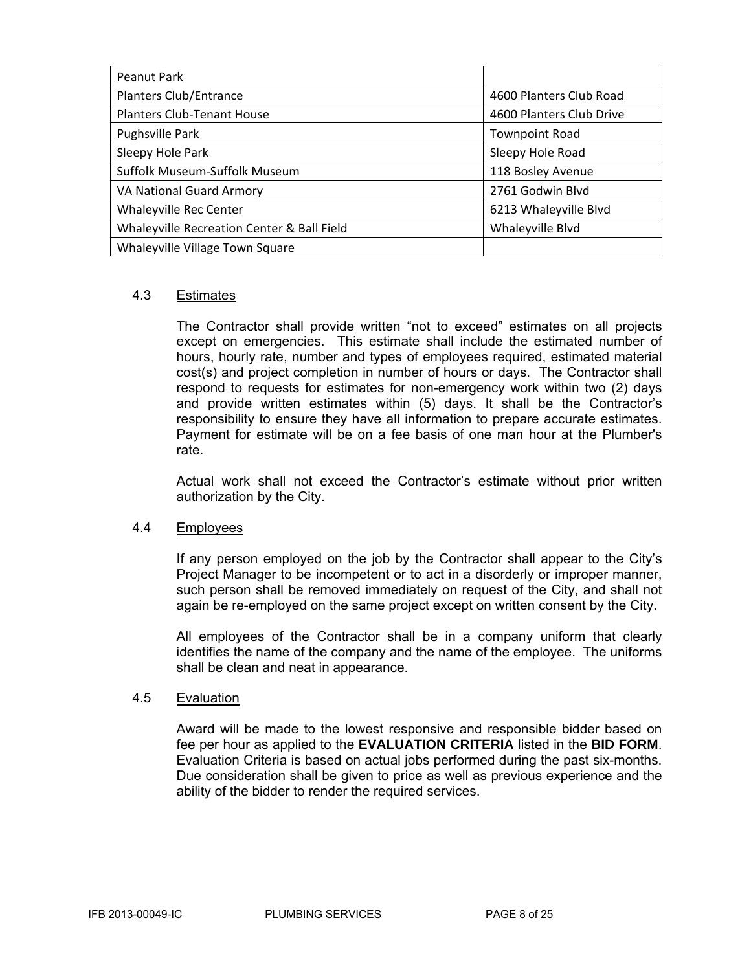| Peanut Park                                |                          |
|--------------------------------------------|--------------------------|
| Planters Club/Entrance                     | 4600 Planters Club Road  |
| Planters Club-Tenant House                 | 4600 Planters Club Drive |
| Pughsville Park                            | <b>Townpoint Road</b>    |
| Sleepy Hole Park                           | Sleepy Hole Road         |
| Suffolk Museum-Suffolk Museum              | 118 Bosley Avenue        |
| <b>VA National Guard Armory</b>            | 2761 Godwin Blvd         |
| <b>Whaleyville Rec Center</b>              | 6213 Whaleyville Blvd    |
| Whaleyville Recreation Center & Ball Field | Whaleyville Blvd         |
| Whaleyville Village Town Square            |                          |

### 4.3 Estimates

The Contractor shall provide written "not to exceed" estimates on all projects except on emergencies. This estimate shall include the estimated number of hours, hourly rate, number and types of employees required, estimated material cost(s) and project completion in number of hours or days. The Contractor shall respond to requests for estimates for non-emergency work within two (2) days and provide written estimates within (5) days. It shall be the Contractor's responsibility to ensure they have all information to prepare accurate estimates. Payment for estimate will be on a fee basis of one man hour at the Plumber's rate.

Actual work shall not exceed the Contractor's estimate without prior written authorization by the City.

#### 4.4 Employees

If any person employed on the job by the Contractor shall appear to the City's Project Manager to be incompetent or to act in a disorderly or improper manner, such person shall be removed immediately on request of the City, and shall not again be re-employed on the same project except on written consent by the City.

All employees of the Contractor shall be in a company uniform that clearly identifies the name of the company and the name of the employee. The uniforms shall be clean and neat in appearance.

#### 4.5 Evaluation

Award will be made to the lowest responsive and responsible bidder based on fee per hour as applied to the **EVALUATION CRITERIA** listed in the **BID FORM**. Evaluation Criteria is based on actual jobs performed during the past six-months. Due consideration shall be given to price as well as previous experience and the ability of the bidder to render the required services.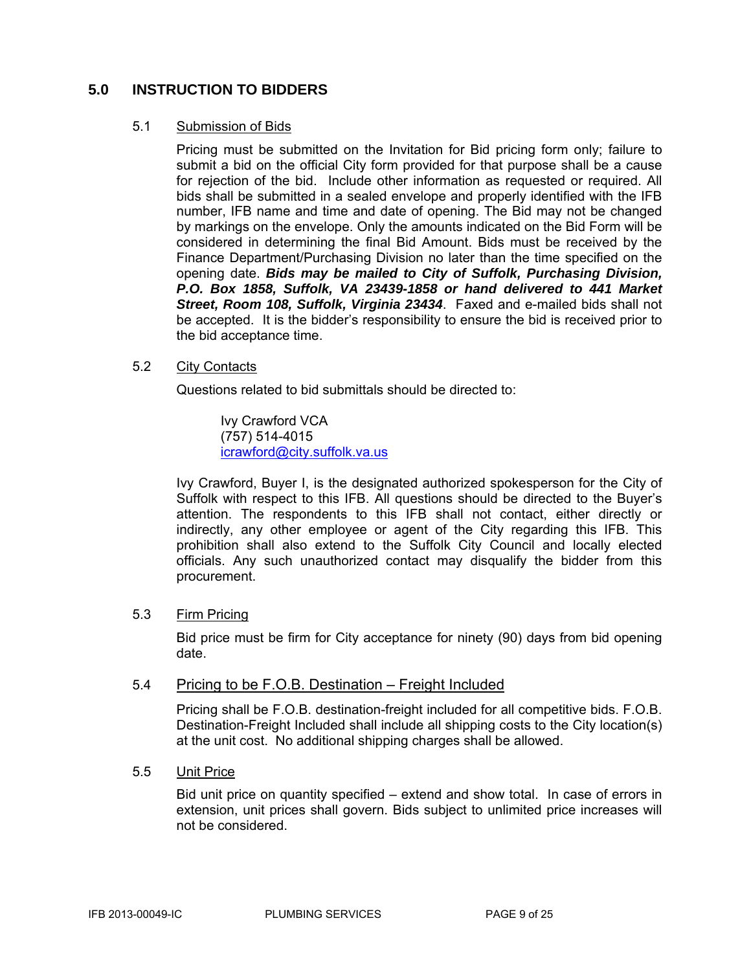# **5.0 INSTRUCTION TO BIDDERS**

### 5.1 Submission of Bids

Pricing must be submitted on the Invitation for Bid pricing form only; failure to submit a bid on the official City form provided for that purpose shall be a cause for rejection of the bid. Include other information as requested or required. All bids shall be submitted in a sealed envelope and properly identified with the IFB number, IFB name and time and date of opening. The Bid may not be changed by markings on the envelope. Only the amounts indicated on the Bid Form will be considered in determining the final Bid Amount. Bids must be received by the Finance Department/Purchasing Division no later than the time specified on the opening date. *Bids may be mailed to City of Suffolk, Purchasing Division, P.O. Box 1858, Suffolk, VA 23439-1858 or hand delivered to 441 Market Street, Room 108, Suffolk, Virginia 23434*. Faxed and e-mailed bids shall not be accepted. It is the bidder's responsibility to ensure the bid is received prior to the bid acceptance time.

### 5.2 City Contacts

Questions related to bid submittals should be directed to:

 Ivy Crawford VCA (757) 514-4015 icrawford@city.suffolk.va.us

Ivy Crawford, Buyer I, is the designated authorized spokesperson for the City of Suffolk with respect to this IFB. All questions should be directed to the Buyer's attention. The respondents to this IFB shall not contact, either directly or indirectly, any other employee or agent of the City regarding this IFB. This prohibition shall also extend to the Suffolk City Council and locally elected officials. Any such unauthorized contact may disqualify the bidder from this procurement.

#### 5.3 Firm Pricing

Bid price must be firm for City acceptance for ninety (90) days from bid opening date.

#### 5.4 Pricing to be F.O.B. Destination – Freight Included

Pricing shall be F.O.B. destination-freight included for all competitive bids. F.O.B. Destination-Freight Included shall include all shipping costs to the City location(s) at the unit cost. No additional shipping charges shall be allowed.

#### 5.5 Unit Price

Bid unit price on quantity specified – extend and show total. In case of errors in extension, unit prices shall govern. Bids subject to unlimited price increases will not be considered.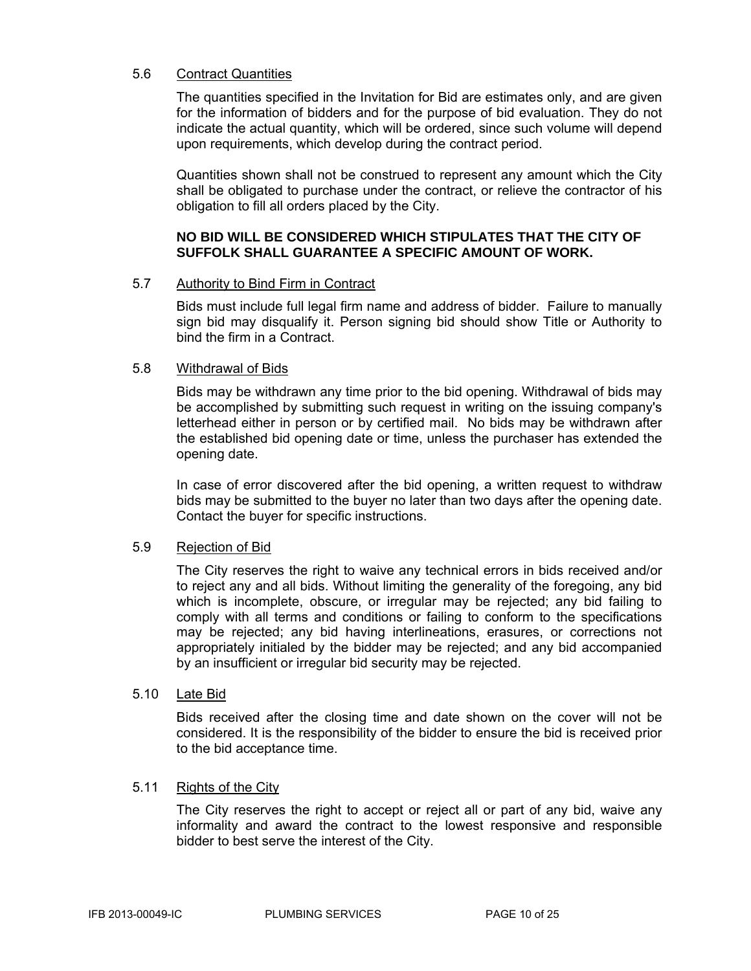## 5.6 Contract Quantities

The quantities specified in the Invitation for Bid are estimates only, and are given for the information of bidders and for the purpose of bid evaluation. They do not indicate the actual quantity, which will be ordered, since such volume will depend upon requirements, which develop during the contract period.

Quantities shown shall not be construed to represent any amount which the City shall be obligated to purchase under the contract, or relieve the contractor of his obligation to fill all orders placed by the City.

## **NO BID WILL BE CONSIDERED WHICH STIPULATES THAT THE CITY OF SUFFOLK SHALL GUARANTEE A SPECIFIC AMOUNT OF WORK.**

#### 5.7 Authority to Bind Firm in Contract

Bids must include full legal firm name and address of bidder. Failure to manually sign bid may disqualify it. Person signing bid should show Title or Authority to bind the firm in a Contract.

#### 5.8 Withdrawal of Bids

Bids may be withdrawn any time prior to the bid opening. Withdrawal of bids may be accomplished by submitting such request in writing on the issuing company's letterhead either in person or by certified mail. No bids may be withdrawn after the established bid opening date or time, unless the purchaser has extended the opening date.

In case of error discovered after the bid opening, a written request to withdraw bids may be submitted to the buyer no later than two days after the opening date. Contact the buyer for specific instructions.

#### 5.9 Rejection of Bid

The City reserves the right to waive any technical errors in bids received and/or to reject any and all bids. Without limiting the generality of the foregoing, any bid which is incomplete, obscure, or irregular may be rejected; any bid failing to comply with all terms and conditions or failing to conform to the specifications may be rejected; any bid having interlineations, erasures, or corrections not appropriately initialed by the bidder may be rejected; and any bid accompanied by an insufficient or irregular bid security may be rejected.

#### 5.10 Late Bid

Bids received after the closing time and date shown on the cover will not be considered. It is the responsibility of the bidder to ensure the bid is received prior to the bid acceptance time.

#### 5.11 Rights of the City

The City reserves the right to accept or reject all or part of any bid, waive any informality and award the contract to the lowest responsive and responsible bidder to best serve the interest of the City.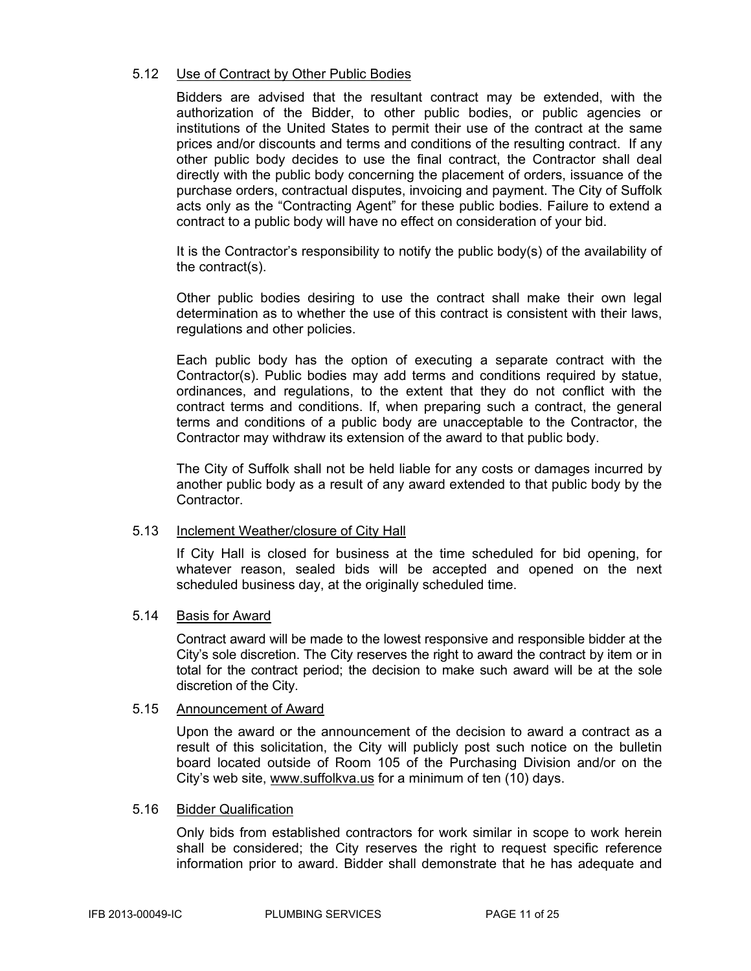### 5.12 Use of Contract by Other Public Bodies

Bidders are advised that the resultant contract may be extended, with the authorization of the Bidder, to other public bodies, or public agencies or institutions of the United States to permit their use of the contract at the same prices and/or discounts and terms and conditions of the resulting contract. If any other public body decides to use the final contract, the Contractor shall deal directly with the public body concerning the placement of orders, issuance of the purchase orders, contractual disputes, invoicing and payment. The City of Suffolk acts only as the "Contracting Agent" for these public bodies. Failure to extend a contract to a public body will have no effect on consideration of your bid.

It is the Contractor's responsibility to notify the public body(s) of the availability of the contract(s).

Other public bodies desiring to use the contract shall make their own legal determination as to whether the use of this contract is consistent with their laws, regulations and other policies.

Each public body has the option of executing a separate contract with the Contractor(s). Public bodies may add terms and conditions required by statue, ordinances, and regulations, to the extent that they do not conflict with the contract terms and conditions. If, when preparing such a contract, the general terms and conditions of a public body are unacceptable to the Contractor, the Contractor may withdraw its extension of the award to that public body.

The City of Suffolk shall not be held liable for any costs or damages incurred by another public body as a result of any award extended to that public body by the Contractor.

#### 5.13 Inclement Weather/closure of City Hall

If City Hall is closed for business at the time scheduled for bid opening, for whatever reason, sealed bids will be accepted and opened on the next scheduled business day, at the originally scheduled time.

#### 5.14 Basis for Award

Contract award will be made to the lowest responsive and responsible bidder at the City's sole discretion. The City reserves the right to award the contract by item or in total for the contract period; the decision to make such award will be at the sole discretion of the City.

#### 5.15 Announcement of Award

Upon the award or the announcement of the decision to award a contract as a result of this solicitation, the City will publicly post such notice on the bulletin board located outside of Room 105 of the Purchasing Division and/or on the City's web site, www.suffolkva.us for a minimum of ten (10) days.

#### 5.16 Bidder Qualification

Only bids from established contractors for work similar in scope to work herein shall be considered; the City reserves the right to request specific reference information prior to award. Bidder shall demonstrate that he has adequate and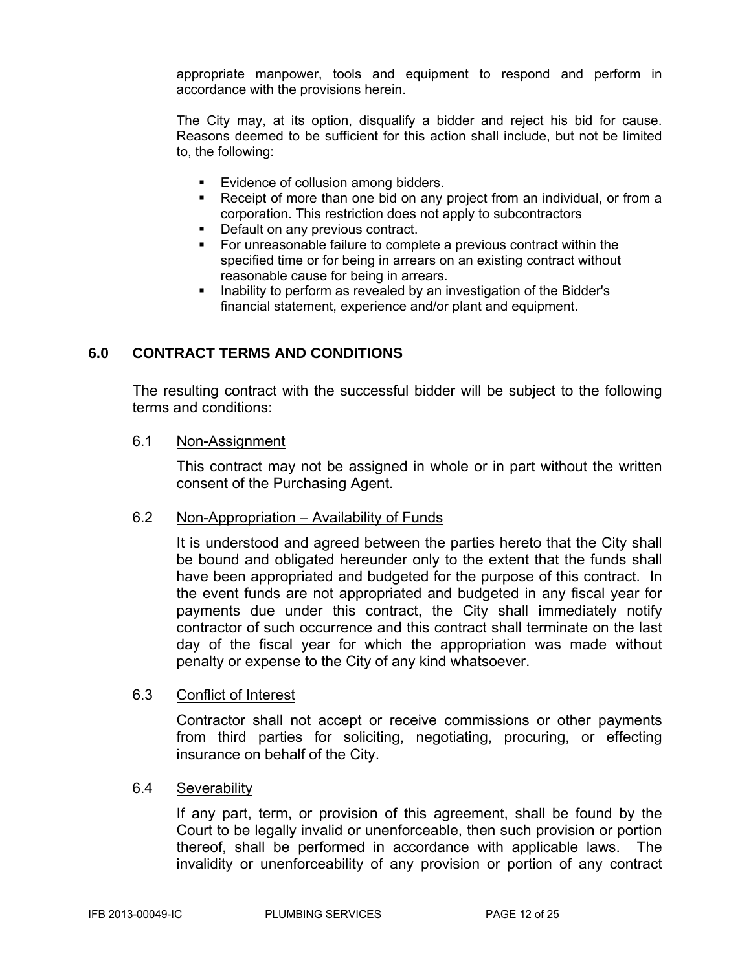appropriate manpower, tools and equipment to respond and perform in accordance with the provisions herein.

The City may, at its option, disqualify a bidder and reject his bid for cause. Reasons deemed to be sufficient for this action shall include, but not be limited to, the following:

- **Evidence of collusion among bidders.**
- Receipt of more than one bid on any project from an individual, or from a corporation. This restriction does not apply to subcontractors
- Default on any previous contract.
- For unreasonable failure to complete a previous contract within the specified time or for being in arrears on an existing contract without reasonable cause for being in arrears.
- **Inability to perform as revealed by an investigation of the Bidder's** financial statement, experience and/or plant and equipment.

# **6.0 CONTRACT TERMS AND CONDITIONS**

The resulting contract with the successful bidder will be subject to the following terms and conditions:

6.1 Non-Assignment

This contract may not be assigned in whole or in part without the written consent of the Purchasing Agent.

#### 6.2 Non-Appropriation – Availability of Funds

It is understood and agreed between the parties hereto that the City shall be bound and obligated hereunder only to the extent that the funds shall have been appropriated and budgeted for the purpose of this contract. In the event funds are not appropriated and budgeted in any fiscal year for payments due under this contract, the City shall immediately notify contractor of such occurrence and this contract shall terminate on the last day of the fiscal year for which the appropriation was made without penalty or expense to the City of any kind whatsoever.

# 6.3 Conflict of Interest

Contractor shall not accept or receive commissions or other payments from third parties for soliciting, negotiating, procuring, or effecting insurance on behalf of the City.

#### 6.4 Severability

If any part, term, or provision of this agreement, shall be found by the Court to be legally invalid or unenforceable, then such provision or portion thereof, shall be performed in accordance with applicable laws. The invalidity or unenforceability of any provision or portion of any contract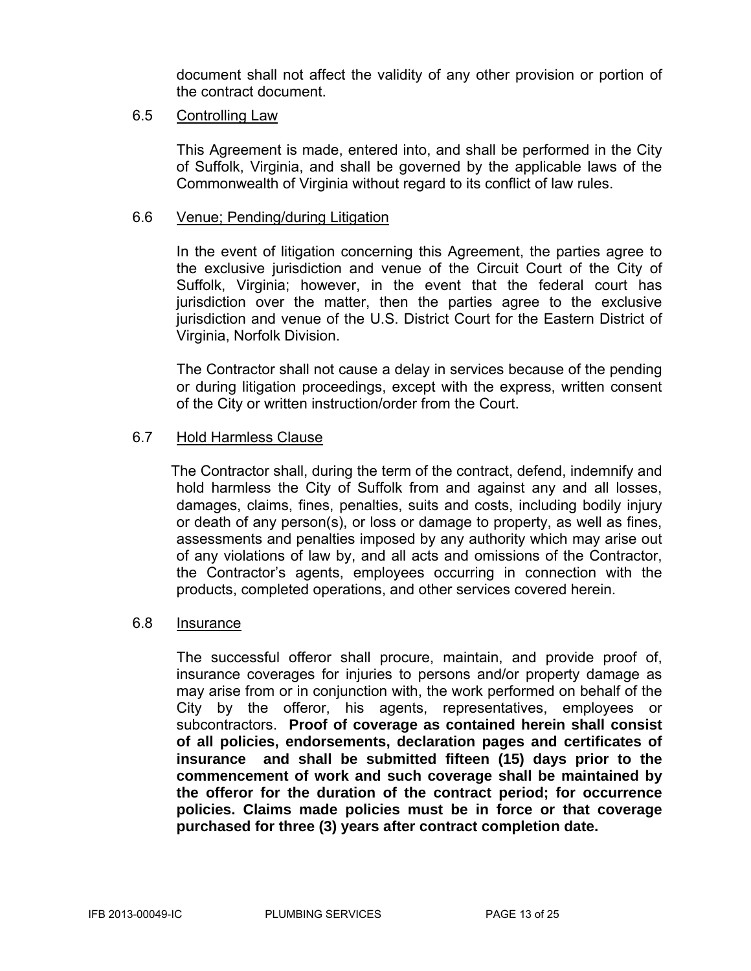document shall not affect the validity of any other provision or portion of the contract document.

# 6.5 Controlling Law

This Agreement is made, entered into, and shall be performed in the City of Suffolk, Virginia, and shall be governed by the applicable laws of the Commonwealth of Virginia without regard to its conflict of law rules.

# 6.6 Venue; Pending/during Litigation

In the event of litigation concerning this Agreement, the parties agree to the exclusive jurisdiction and venue of the Circuit Court of the City of Suffolk, Virginia; however, in the event that the federal court has jurisdiction over the matter, then the parties agree to the exclusive jurisdiction and venue of the U.S. District Court for the Eastern District of Virginia, Norfolk Division.

The Contractor shall not cause a delay in services because of the pending or during litigation proceedings, except with the express, written consent of the City or written instruction/order from the Court.

# 6.7 Hold Harmless Clause

 The Contractor shall, during the term of the contract, defend, indemnify and hold harmless the City of Suffolk from and against any and all losses, damages, claims, fines, penalties, suits and costs, including bodily injury or death of any person(s), or loss or damage to property, as well as fines, assessments and penalties imposed by any authority which may arise out of any violations of law by, and all acts and omissions of the Contractor, the Contractor's agents, employees occurring in connection with the products, completed operations, and other services covered herein.

# 6.8 Insurance

The successful offeror shall procure, maintain, and provide proof of, insurance coverages for injuries to persons and/or property damage as may arise from or in conjunction with, the work performed on behalf of the City by the offeror, his agents, representatives, employees or subcontractors. **Proof of coverage as contained herein shall consist of all policies, endorsements, declaration pages and certificates of insurance and shall be submitted fifteen (15) days prior to the commencement of work and such coverage shall be maintained by the offeror for the duration of the contract period; for occurrence policies. Claims made policies must be in force or that coverage purchased for three (3) years after contract completion date.**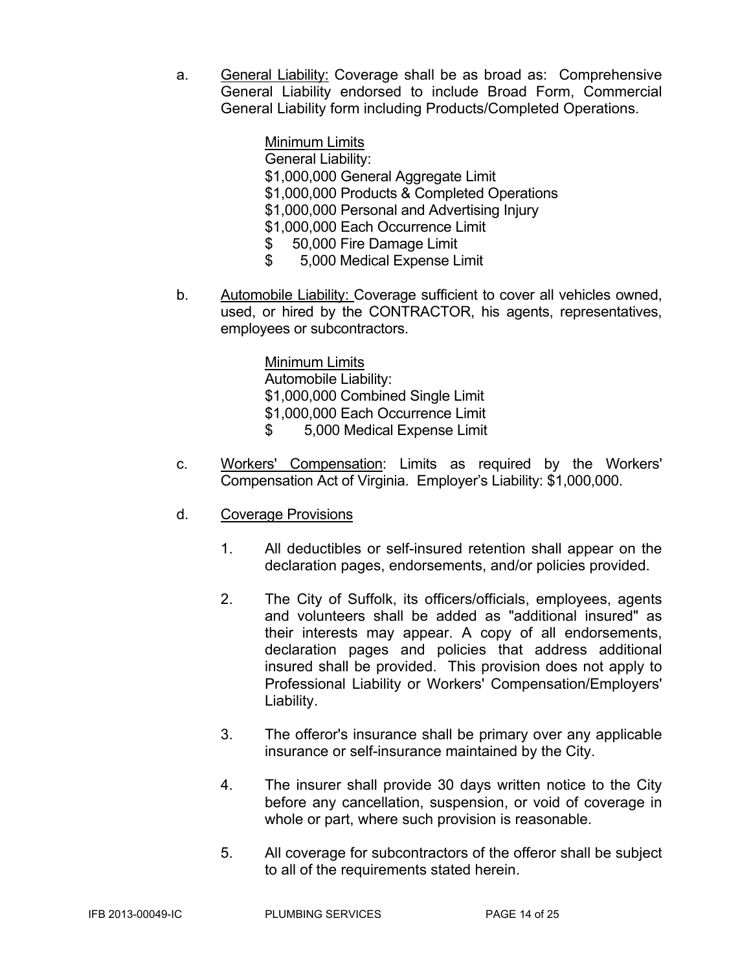a. General Liability: Coverage shall be as broad as: Comprehensive General Liability endorsed to include Broad Form, Commercial General Liability form including Products/Completed Operations.

> Minimum Limits General Liability: \$1,000,000 General Aggregate Limit \$1,000,000 Products & Completed Operations \$1,000,000 Personal and Advertising Injury \$1,000,000 Each Occurrence Limit \$ 50,000 Fire Damage Limit \$ 5,000 Medical Expense Limit

b. Automobile Liability: Coverage sufficient to cover all vehicles owned, used, or hired by the CONTRACTOR, his agents, representatives, employees or subcontractors.

> Minimum Limits Automobile Liability: \$1,000,000 Combined Single Limit \$1,000,000 Each Occurrence Limit \$ 5,000 Medical Expense Limit

- c. Workers' Compensation: Limits as required by the Workers' Compensation Act of Virginia. Employer's Liability: \$1,000,000.
- d. Coverage Provisions
	- 1. All deductibles or self-insured retention shall appear on the declaration pages, endorsements, and/or policies provided.
	- 2. The City of Suffolk, its officers/officials, employees, agents and volunteers shall be added as "additional insured" as their interests may appear. A copy of all endorsements, declaration pages and policies that address additional insured shall be provided. This provision does not apply to Professional Liability or Workers' Compensation/Employers' Liability.
	- 3. The offeror's insurance shall be primary over any applicable insurance or self-insurance maintained by the City.
	- 4. The insurer shall provide 30 days written notice to the City before any cancellation, suspension, or void of coverage in whole or part, where such provision is reasonable.
	- 5. All coverage for subcontractors of the offeror shall be subject to all of the requirements stated herein.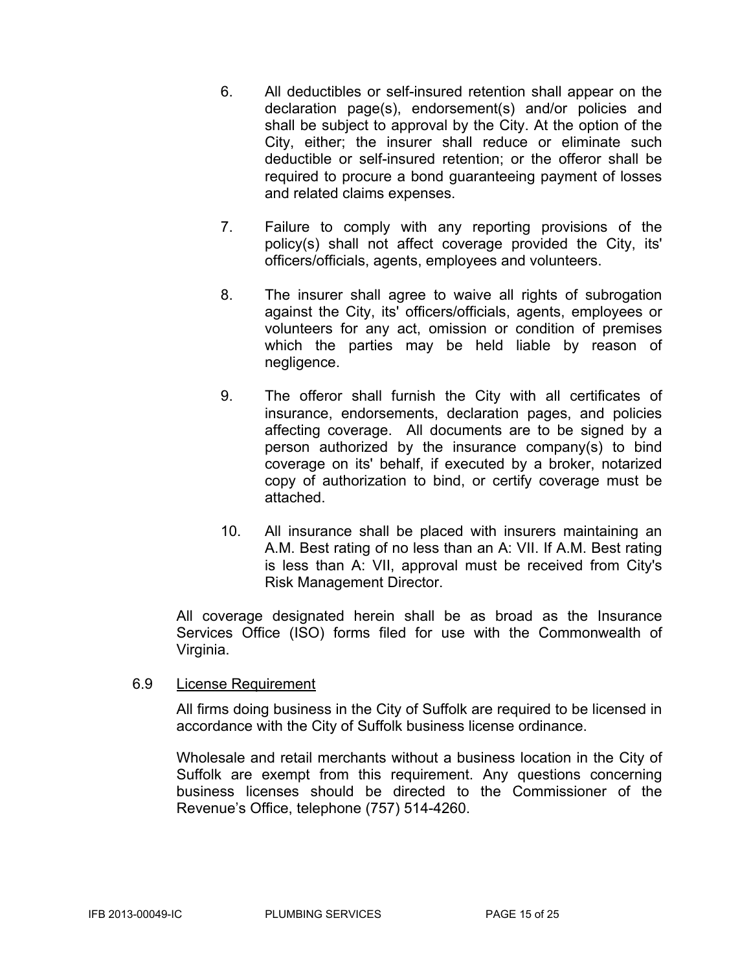- 6. All deductibles or self-insured retention shall appear on the declaration page(s), endorsement(s) and/or policies and shall be subject to approval by the City. At the option of the City, either; the insurer shall reduce or eliminate such deductible or self-insured retention; or the offeror shall be required to procure a bond guaranteeing payment of losses and related claims expenses.
- 7. Failure to comply with any reporting provisions of the policy(s) shall not affect coverage provided the City, its' officers/officials, agents, employees and volunteers.
- 8. The insurer shall agree to waive all rights of subrogation against the City, its' officers/officials, agents, employees or volunteers for any act, omission or condition of premises which the parties may be held liable by reason of negligence.
- 9. The offeror shall furnish the City with all certificates of insurance, endorsements, declaration pages, and policies affecting coverage. All documents are to be signed by a person authorized by the insurance company(s) to bind coverage on its' behalf, if executed by a broker, notarized copy of authorization to bind, or certify coverage must be attached.
- 10. All insurance shall be placed with insurers maintaining an A.M. Best rating of no less than an A: VII. If A.M. Best rating is less than A: VII, approval must be received from City's Risk Management Director.

All coverage designated herein shall be as broad as the Insurance Services Office (ISO) forms filed for use with the Commonwealth of Virginia.

# 6.9 License Requirement

All firms doing business in the City of Suffolk are required to be licensed in accordance with the City of Suffolk business license ordinance.

Wholesale and retail merchants without a business location in the City of Suffolk are exempt from this requirement. Any questions concerning business licenses should be directed to the Commissioner of the Revenue's Office, telephone (757) 514-4260.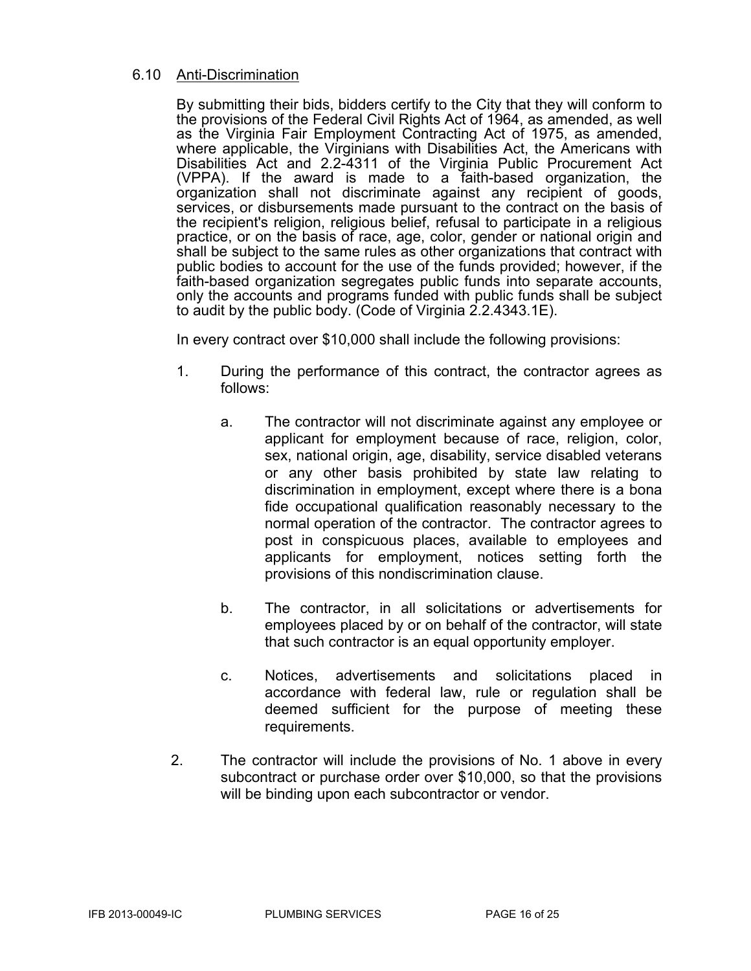# 6.10 Anti-Discrimination

 By submitting their bids, bidders certify to the City that they will conform to the provisions of the Federal Civil Rights Act of 1964, as amended, as well as the Virginia Fair Employment Contracting Act of 1975, as amended, where applicable, the Virginians with Disabilities Act, the Americans with Disabilities Act and 2.2-4311 of the Virginia Public Procurement Act (VPPA). If the award is made to a faith-based organization, the organization shall not discriminate against any recipient of goods, services, or disbursements made pursuant to the contract on the basis of the recipient's religion, religious belief, refusal to participate in a religious practice, or on the basis of race, age, color, gender or national origin and shall be subject to the same rules as other organizations that contract with public bodies to account for the use of the funds provided; however, if the faith-based organization segregates public funds into separate accounts, only the accounts and programs funded with public funds shall be subject to audit by the public body. (Code of Virginia 2.2.4343.1E).

In every contract over \$10,000 shall include the following provisions:

- 1. During the performance of this contract, the contractor agrees as follows:
	- a. The contractor will not discriminate against any employee or applicant for employment because of race, religion, color, sex, national origin, age, disability, service disabled veterans or any other basis prohibited by state law relating to discrimination in employment, except where there is a bona fide occupational qualification reasonably necessary to the normal operation of the contractor. The contractor agrees to post in conspicuous places, available to employees and applicants for employment, notices setting forth the provisions of this nondiscrimination clause.
	- b. The contractor, in all solicitations or advertisements for employees placed by or on behalf of the contractor, will state that such contractor is an equal opportunity employer.
	- c. Notices, advertisements and solicitations placed in accordance with federal law, rule or regulation shall be deemed sufficient for the purpose of meeting these requirements.
- 2. The contractor will include the provisions of No. 1 above in every subcontract or purchase order over \$10,000, so that the provisions will be binding upon each subcontractor or vendor.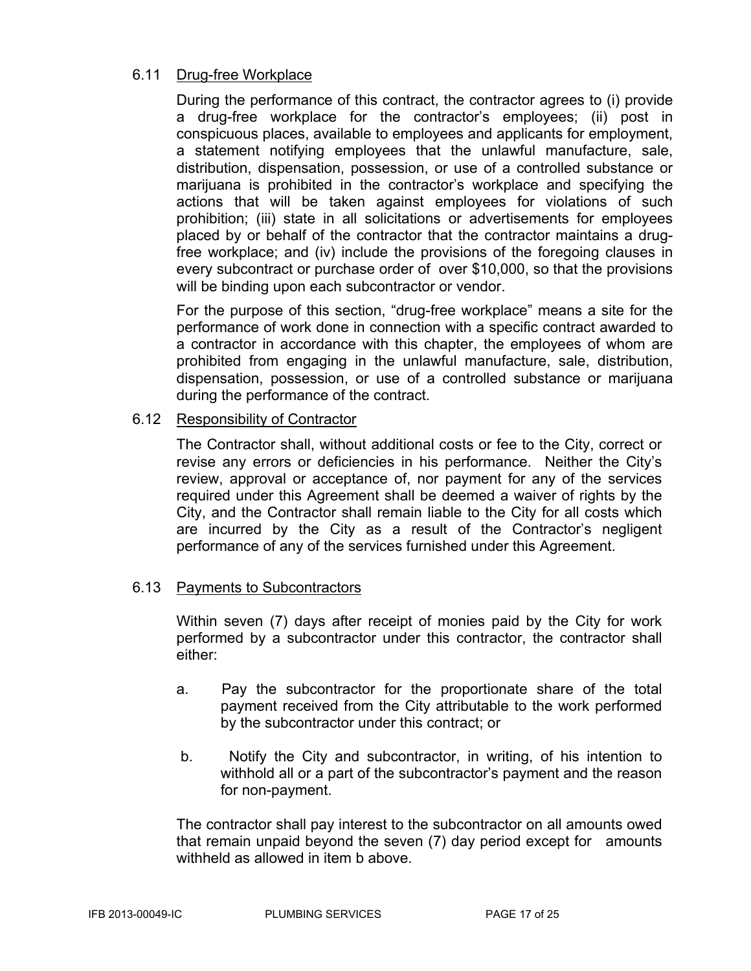# 6.11 Drug-free Workplace

During the performance of this contract, the contractor agrees to (i) provide a drug-free workplace for the contractor's employees; (ii) post in conspicuous places, available to employees and applicants for employment, a statement notifying employees that the unlawful manufacture, sale, distribution, dispensation, possession, or use of a controlled substance or marijuana is prohibited in the contractor's workplace and specifying the actions that will be taken against employees for violations of such prohibition; (iii) state in all solicitations or advertisements for employees placed by or behalf of the contractor that the contractor maintains a drugfree workplace; and (iv) include the provisions of the foregoing clauses in every subcontract or purchase order of over \$10,000, so that the provisions will be binding upon each subcontractor or vendor.

For the purpose of this section, "drug-free workplace" means a site for the performance of work done in connection with a specific contract awarded to a contractor in accordance with this chapter, the employees of whom are prohibited from engaging in the unlawful manufacture, sale, distribution, dispensation, possession, or use of a controlled substance or marijuana during the performance of the contract.

# 6.12 Responsibility of Contractor

The Contractor shall, without additional costs or fee to the City, correct or revise any errors or deficiencies in his performance. Neither the City's review, approval or acceptance of, nor payment for any of the services required under this Agreement shall be deemed a waiver of rights by the City, and the Contractor shall remain liable to the City for all costs which are incurred by the City as a result of the Contractor's negligent performance of any of the services furnished under this Agreement.

# 6.13 Payments to Subcontractors

Within seven (7) days after receipt of monies paid by the City for work performed by a subcontractor under this contractor, the contractor shall either:

- a. Pay the subcontractor for the proportionate share of the total payment received from the City attributable to the work performed by the subcontractor under this contract; or
- b. Notify the City and subcontractor, in writing, of his intention to withhold all or a part of the subcontractor's payment and the reason for non-payment.

The contractor shall pay interest to the subcontractor on all amounts owed that remain unpaid beyond the seven (7) day period except for amounts withheld as allowed in item **b** above.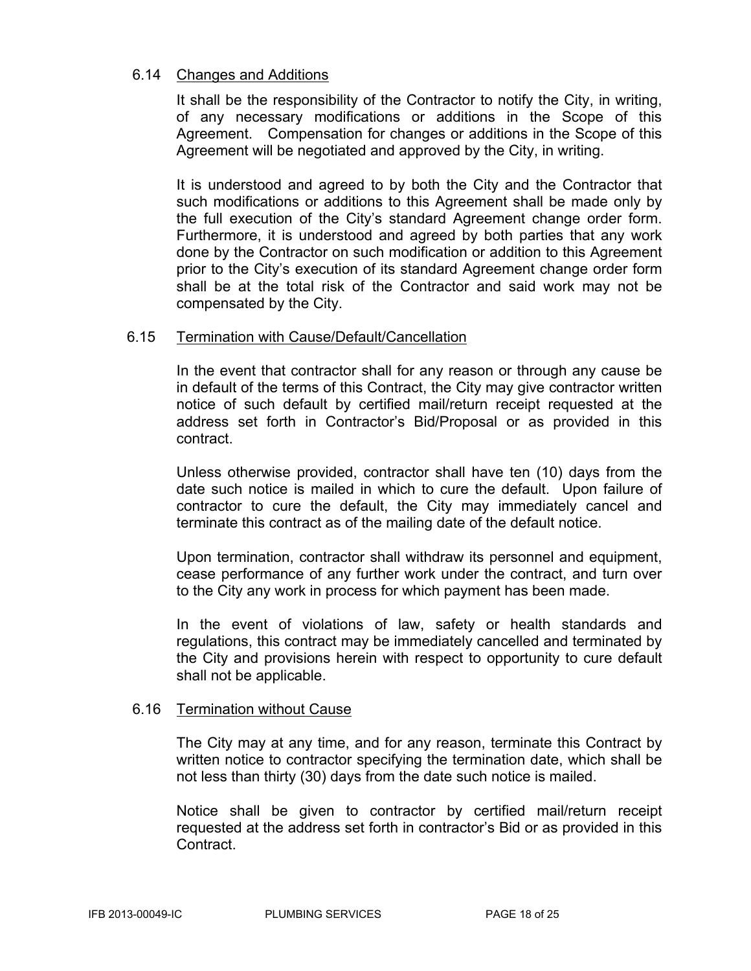# 6.14 Changes and Additions

It shall be the responsibility of the Contractor to notify the City, in writing, of any necessary modifications or additions in the Scope of this Agreement. Compensation for changes or additions in the Scope of this Agreement will be negotiated and approved by the City, in writing.

It is understood and agreed to by both the City and the Contractor that such modifications or additions to this Agreement shall be made only by the full execution of the City's standard Agreement change order form. Furthermore, it is understood and agreed by both parties that any work done by the Contractor on such modification or addition to this Agreement prior to the City's execution of its standard Agreement change order form shall be at the total risk of the Contractor and said work may not be compensated by the City.

# 6.15 Termination with Cause/Default/Cancellation

In the event that contractor shall for any reason or through any cause be in default of the terms of this Contract, the City may give contractor written notice of such default by certified mail/return receipt requested at the address set forth in Contractor's Bid/Proposal or as provided in this contract.

Unless otherwise provided, contractor shall have ten (10) days from the date such notice is mailed in which to cure the default. Upon failure of contractor to cure the default, the City may immediately cancel and terminate this contract as of the mailing date of the default notice.

Upon termination, contractor shall withdraw its personnel and equipment, cease performance of any further work under the contract, and turn over to the City any work in process for which payment has been made.

In the event of violations of law, safety or health standards and regulations, this contract may be immediately cancelled and terminated by the City and provisions herein with respect to opportunity to cure default shall not be applicable.

#### 6.16 Termination without Cause

The City may at any time, and for any reason, terminate this Contract by written notice to contractor specifying the termination date, which shall be not less than thirty (30) days from the date such notice is mailed.

Notice shall be given to contractor by certified mail/return receipt requested at the address set forth in contractor's Bid or as provided in this Contract.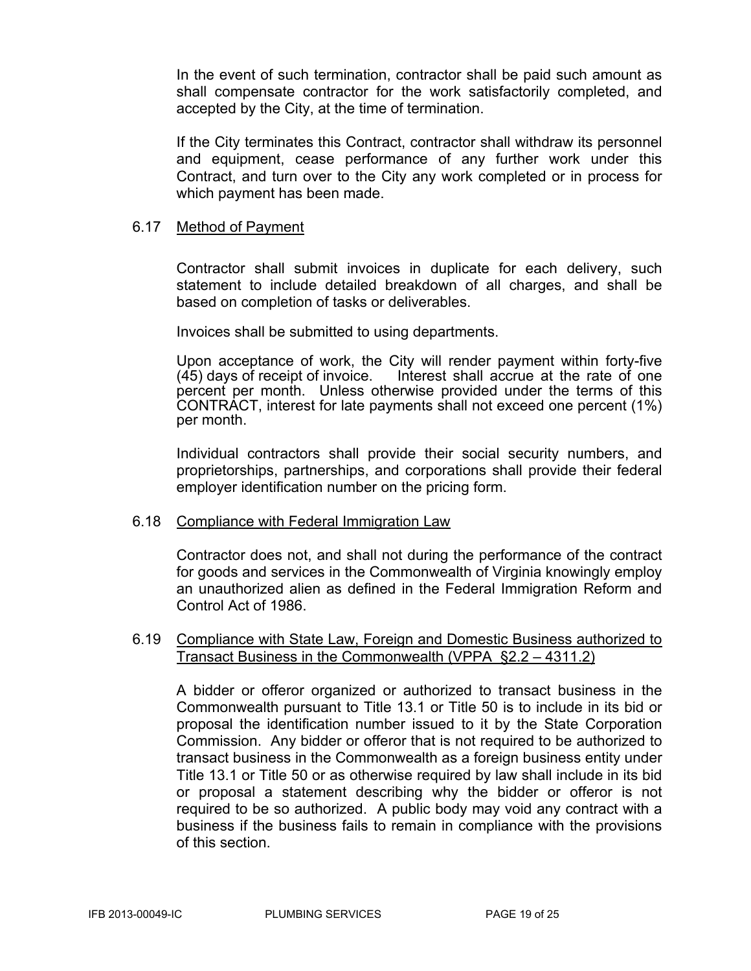In the event of such termination, contractor shall be paid such amount as shall compensate contractor for the work satisfactorily completed, and accepted by the City, at the time of termination.

If the City terminates this Contract, contractor shall withdraw its personnel and equipment, cease performance of any further work under this Contract, and turn over to the City any work completed or in process for which payment has been made.

# 6.17 Method of Payment

Contractor shall submit invoices in duplicate for each delivery, such statement to include detailed breakdown of all charges, and shall be based on completion of tasks or deliverables.

Invoices shall be submitted to using departments.

Upon acceptance of work, the City will render payment within forty-five (45) days of receipt of invoice. Interest shall accrue at the rate of one percent per month. Unless otherwise provided under the terms of this CONTRACT, interest for late payments shall not exceed one percent (1%) per month.

Individual contractors shall provide their social security numbers, and proprietorships, partnerships, and corporations shall provide their federal employer identification number on the pricing form.

# 6.18 Compliance with Federal Immigration Law

Contractor does not, and shall not during the performance of the contract for goods and services in the Commonwealth of Virginia knowingly employ an unauthorized alien as defined in the Federal Immigration Reform and Control Act of 1986.

# 6.19 Compliance with State Law, Foreign and Domestic Business authorized to Transact Business in the Commonwealth (VPPA §2.2 – 4311.2)

A bidder or offeror organized or authorized to transact business in the Commonwealth pursuant to Title 13.1 or Title 50 is to include in its bid or proposal the identification number issued to it by the State Corporation Commission. Any bidder or offeror that is not required to be authorized to transact business in the Commonwealth as a foreign business entity under Title 13.1 or Title 50 or as otherwise required by law shall include in its bid or proposal a statement describing why the bidder or offeror is not required to be so authorized. A public body may void any contract with a business if the business fails to remain in compliance with the provisions of this section.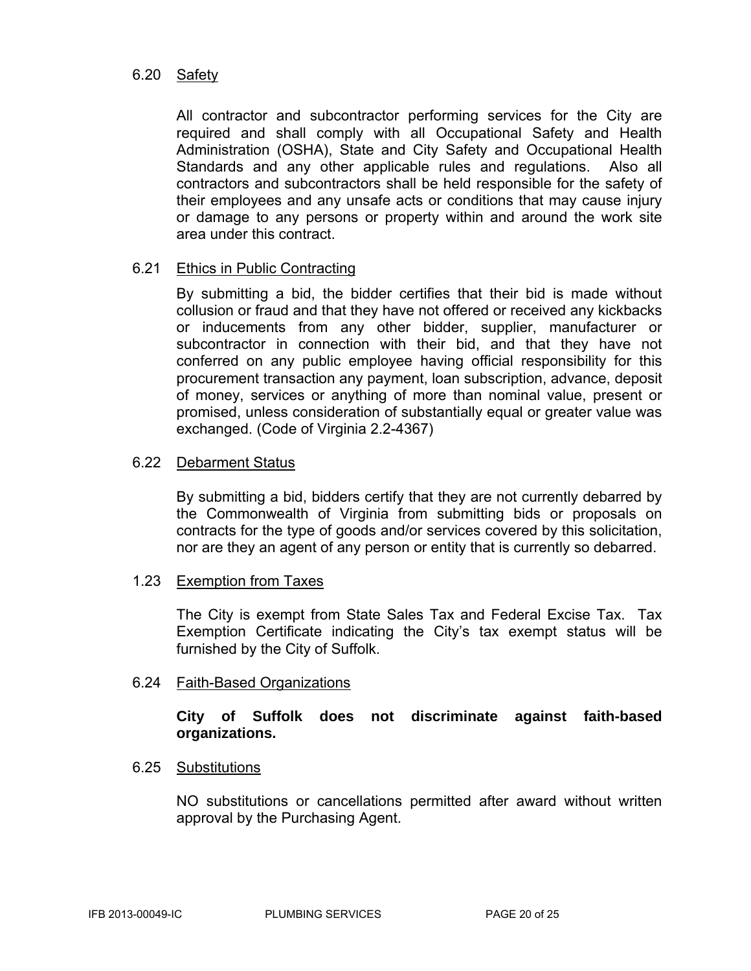# 6.20 Safety

All contractor and subcontractor performing services for the City are required and shall comply with all Occupational Safety and Health Administration (OSHA), State and City Safety and Occupational Health Standards and any other applicable rules and regulations. Also all contractors and subcontractors shall be held responsible for the safety of their employees and any unsafe acts or conditions that may cause injury or damage to any persons or property within and around the work site area under this contract.

# 6.21 Ethics in Public Contracting

By submitting a bid, the bidder certifies that their bid is made without collusion or fraud and that they have not offered or received any kickbacks or inducements from any other bidder, supplier, manufacturer or subcontractor in connection with their bid, and that they have not conferred on any public employee having official responsibility for this procurement transaction any payment, loan subscription, advance, deposit of money, services or anything of more than nominal value, present or promised, unless consideration of substantially equal or greater value was exchanged. (Code of Virginia 2.2-4367)

# 6.22 Debarment Status

By submitting a bid, bidders certify that they are not currently debarred by the Commonwealth of Virginia from submitting bids or proposals on contracts for the type of goods and/or services covered by this solicitation, nor are they an agent of any person or entity that is currently so debarred.

# 1.23 Exemption from Taxes

The City is exempt from State Sales Tax and Federal Excise Tax. Tax Exemption Certificate indicating the City's tax exempt status will be furnished by the City of Suffolk.

# 6.24 Faith-Based Organizations

# **City of Suffolk does not discriminate against faith-based organizations.**

# 6.25 Substitutions

NO substitutions or cancellations permitted after award without written approval by the Purchasing Agent.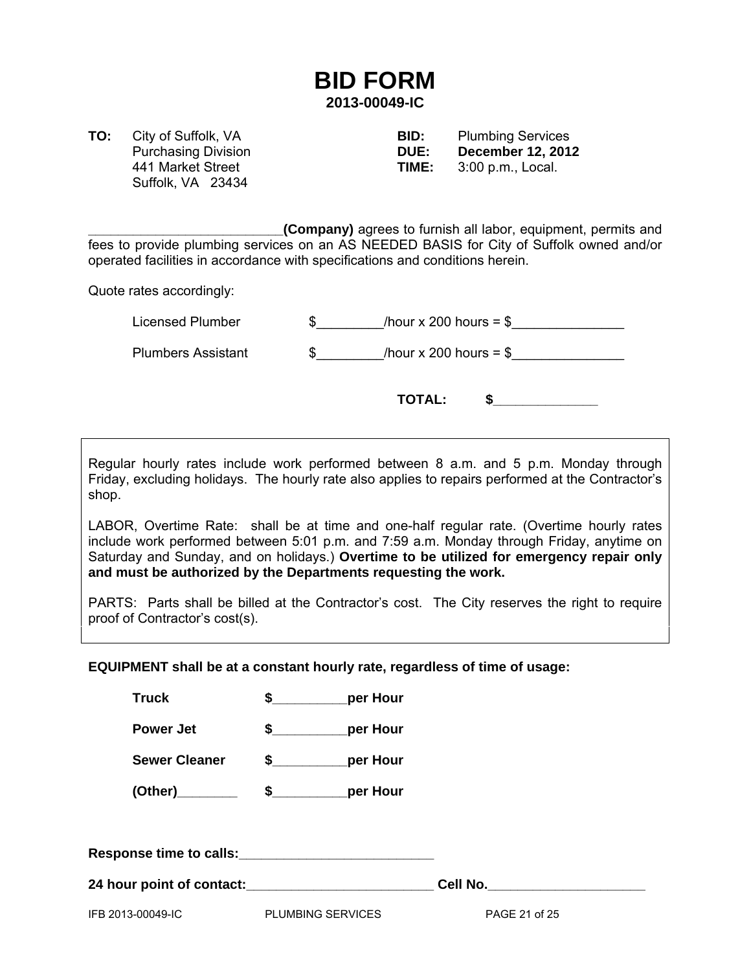# **BID FORM 2013-00049-IC**

Suffolk, VA 23434

**TO:** City of Suffolk, VA **BID:** Plumbing Services Purchasing Division **DUE: December 12, 2012**  441 Market Street **TIME:** 3:00 p.m., Local.

**\_\_\_\_\_\_\_\_\_\_\_\_\_\_\_\_\_\_\_\_\_\_\_\_\_\_(Company)** agrees to furnish all labor, equipment, permits and fees to provide plumbing services on an AS NEEDED BASIS for City of Suffolk owned and/or operated facilities in accordance with specifications and conditions herein.

Quote rates accordingly:

| Licensed Plumber          | /hour x 200 hours = $$$ |  |
|---------------------------|-------------------------|--|
| <b>Plumbers Assistant</b> | /hour x 200 hours = $$$ |  |
|                           | <b>TOTAL:</b>           |  |

Regular hourly rates include work performed between 8 a.m. and 5 p.m. Monday through Friday, excluding holidays. The hourly rate also applies to repairs performed at the Contractor's shop.

LABOR, Overtime Rate: shall be at time and one-half regular rate. (Overtime hourly rates include work performed between 5:01 p.m. and 7:59 a.m. Monday through Friday, anytime on Saturday and Sunday, and on holidays.) **Overtime to be utilized for emergency repair only and must be authorized by the Departments requesting the work.** 

PARTS: Parts shall be billed at the Contractor's cost. The City reserves the right to require proof of Contractor's cost(s).

**EQUIPMENT shall be at a constant hourly rate, regardless of time of usage:** 

| IFB 2013-00049-IC    | <b>PLUMBING SERVICES</b>  | PAGE 21 of 25 |
|----------------------|---------------------------|---------------|
|                      |                           | Cell No.      |
|                      |                           |               |
|                      |                           |               |
| (Other)              | $\frac{1}{2}$<br>per Hour |               |
| <b>Sewer Cleaner</b> | \$<br>per Hour            |               |
| <b>Power Jet</b>     | \$<br>per Hour            |               |
| <b>Truck</b>         | \$<br>per Hour            |               |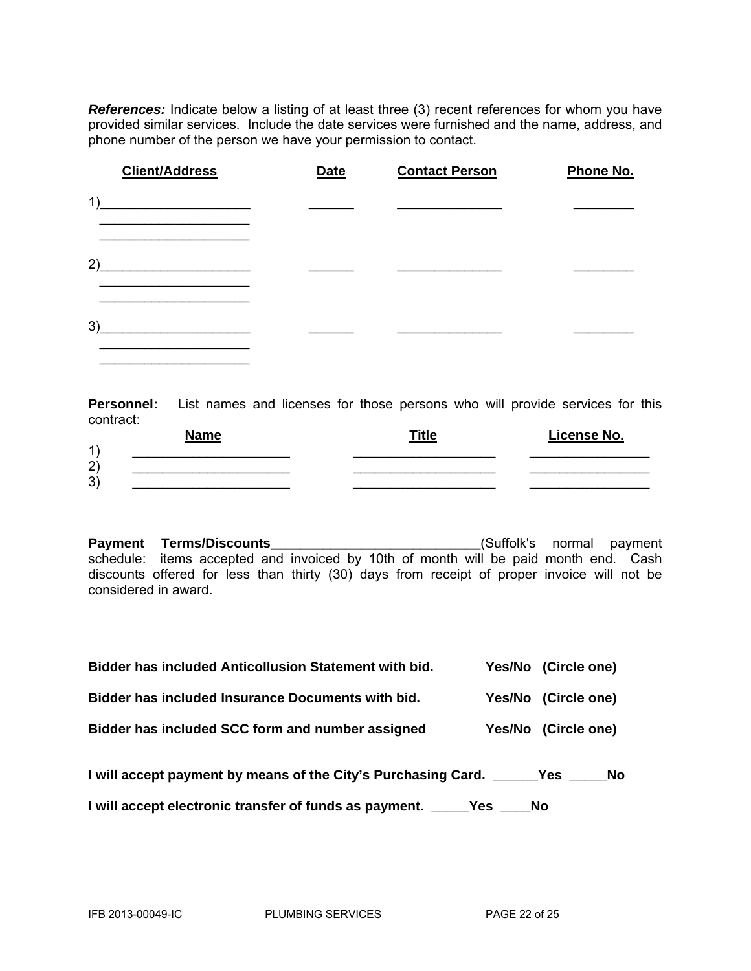*References:* Indicate below a listing of at least three (3) recent references for whom you have provided similar services. Include the date services were furnished and the name, address, and phone number of the person we have your permission to contact.

| <b>Client/Address</b> | <b>Date</b> | <b>Contact Person</b> | Phone No. |
|-----------------------|-------------|-----------------------|-----------|
| 1)                    |             |                       |           |
| 2)                    |             |                       |           |
| 3)                    |             |                       |           |

**Personnel:** List names and licenses for those persons who will provide services for this contract:

|                | <b>Name</b> | <b>Title</b> | License No. |
|----------------|-------------|--------------|-------------|
| $\overline{A}$ |             |              |             |
| $\Omega$<br>∠  |             |              |             |
| יכי<br>ັ       |             |              |             |

**Payment Terms/Discounts\_\_\_\_\_\_\_\_\_\_\_\_\_\_\_\_\_\_\_\_\_\_\_\_\_\_\_\_**(Suffolk's normal payment schedule: items accepted and invoiced by 10th of month will be paid month end. Cash discounts offered for less than thirty (30) days from receipt of proper invoice will not be considered in award.

| <b>Bidder has included Anticollusion Statement with bid.</b>                   | Yes/No (Circle one) |  |
|--------------------------------------------------------------------------------|---------------------|--|
| Bidder has included Insurance Documents with bid.                              | Yes/No (Circle one) |  |
| Bidder has included SCC form and number assigned                               | Yes/No (Circle one) |  |
| I will accept payment by means of the City's Purchasing Card. _______ Yes ____ | No.                 |  |
| I will accept electronic transfer of funds as payment. _______Yes _____No      |                     |  |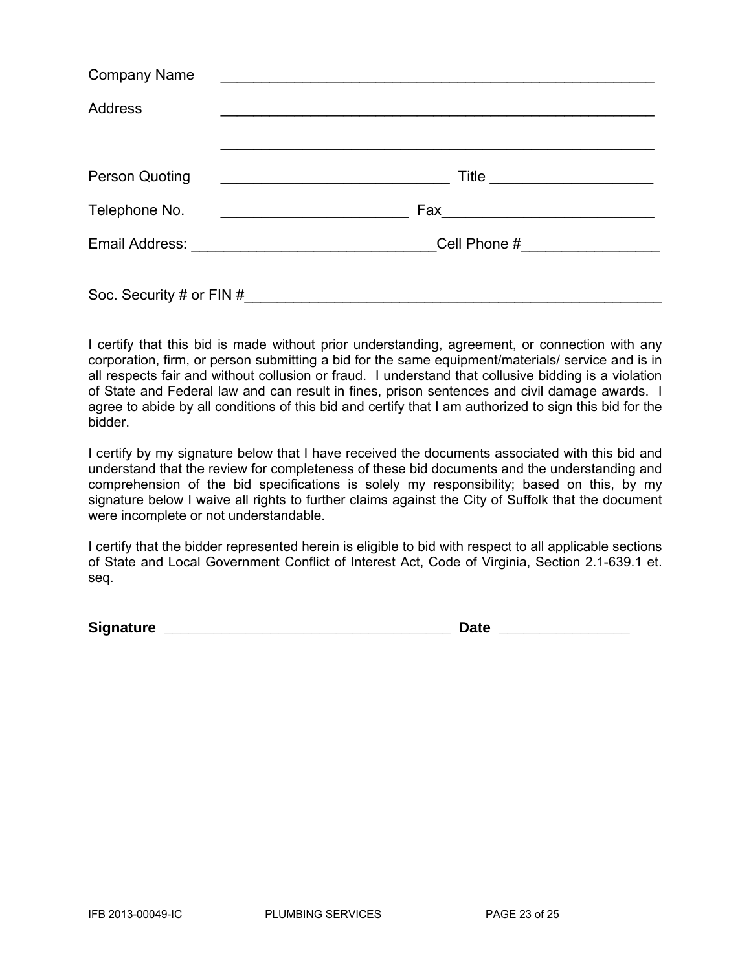| <b>Company Name</b>      |                                 |
|--------------------------|---------------------------------|
| Address                  |                                 |
|                          |                                 |
| Person Quoting           | Title ________________________  |
| Telephone No.            |                                 |
|                          | Cell Phone #___________________ |
| Soc. Security # or FIN # |                                 |

I certify that this bid is made without prior understanding, agreement, or connection with any corporation, firm, or person submitting a bid for the same equipment/materials/ service and is in all respects fair and without collusion or fraud. I understand that collusive bidding is a violation of State and Federal law and can result in fines, prison sentences and civil damage awards. I agree to abide by all conditions of this bid and certify that I am authorized to sign this bid for the bidder.

I certify by my signature below that I have received the documents associated with this bid and understand that the review for completeness of these bid documents and the understanding and comprehension of the bid specifications is solely my responsibility; based on this, by my signature below I waive all rights to further claims against the City of Suffolk that the document were incomplete or not understandable.

I certify that the bidder represented herein is eligible to bid with respect to all applicable sections of State and Local Government Conflict of Interest Act, Code of Virginia, Section 2.1-639.1 et. seq.

**Signature Signature** *Contract Contract Contract Contract Contract Contract Contract Contract Contract Contract Contract Contract Contract Contract Contract Contract Contract Contract Contract Contract Contract Contra*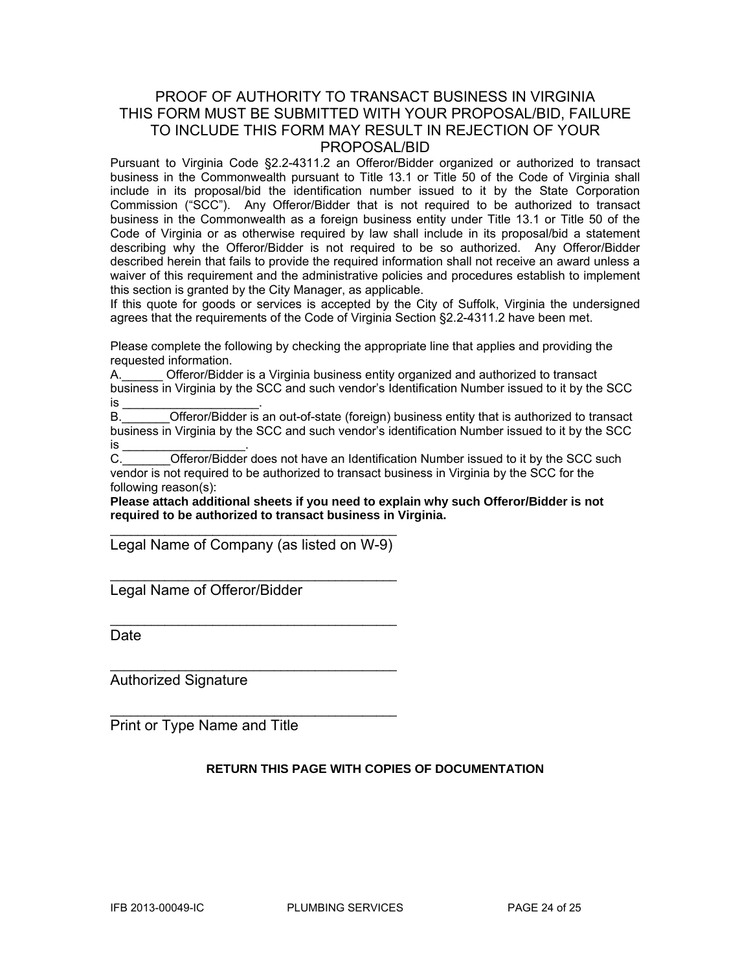# PROOF OF AUTHORITY TO TRANSACT BUSINESS IN VIRGINIA THIS FORM MUST BE SUBMITTED WITH YOUR PROPOSAL/BID, FAILURE TO INCLUDE THIS FORM MAY RESULT IN REJECTION OF YOUR PROPOSAL/BID

Pursuant to Virginia Code §2.2-4311.2 an Offeror/Bidder organized or authorized to transact business in the Commonwealth pursuant to Title 13.1 or Title 50 of the Code of Virginia shall include in its proposal/bid the identification number issued to it by the State Corporation Commission ("SCC"). Any Offeror/Bidder that is not required to be authorized to transact business in the Commonwealth as a foreign business entity under Title 13.1 or Title 50 of the Code of Virginia or as otherwise required by law shall include in its proposal/bid a statement describing why the Offeror/Bidder is not required to be so authorized. Any Offeror/Bidder described herein that fails to provide the required information shall not receive an award unless a waiver of this requirement and the administrative policies and procedures establish to implement this section is granted by the City Manager, as applicable.

If this quote for goods or services is accepted by the City of Suffolk, Virginia the undersigned agrees that the requirements of the Code of Virginia Section §2.2-4311.2 have been met.

Please complete the following by checking the appropriate line that applies and providing the requested information.

A.\_\_\_\_\_\_ Offeror/Bidder is a Virginia business entity organized and authorized to transact business in Virginia by the SCC and such vendor's Identification Number issued to it by the SCC is \_\_\_\_\_\_\_\_\_\_\_\_\_\_\_\_\_\_\_\_\_\_\_\_\_\_\_\_\_\_\_\_.

B. **Combing the Communist Communisty Communisty** B. **Communisty Communisty Communisty Communisty** Communisty Communisty Communisty Communisty Communisty Communisty Communisty Communisty Communisty Communisty Communisty Com business in Virginia by the SCC and such vendor's identification Number issued to it by the SCC is \_\_\_\_\_\_\_\_\_\_\_\_\_\_\_\_\_\_\_\_\_\_.

C. **C.** Offeror/Bidder does not have an Identification Number issued to it by the SCC such vendor is not required to be authorized to transact business in Virginia by the SCC for the following reason(s):

**Please attach additional sheets if you need to explain why such Offeror/Bidder is not required to be authorized to transact business in Virginia.** 

\_\_\_\_\_\_\_\_\_\_\_\_\_\_\_\_\_\_\_\_\_\_\_\_\_\_\_\_\_\_\_\_\_\_\_\_\_\_\_\_\_\_ Legal Name of Company (as listed on W-9)

\_\_\_\_\_\_\_\_\_\_\_\_\_\_\_\_\_\_\_\_\_\_\_\_\_\_\_\_\_\_\_\_\_\_\_\_\_\_\_\_\_\_

\_\_\_\_\_\_\_\_\_\_\_\_\_\_\_\_\_\_\_\_\_\_\_\_\_\_\_\_\_\_\_\_\_\_\_\_\_\_\_\_\_\_

 $\mathcal{L}_\text{max}$  , and the set of the set of the set of the set of the set of the set of the set of the set of the set of the set of the set of the set of the set of the set of the set of the set of the set of the set of the

 $\mathcal{L}_\text{max}$  , and the set of the set of the set of the set of the set of the set of the set of the set of the set of the set of the set of the set of the set of the set of the set of the set of the set of the set of the

Legal Name of Offeror/Bidder

Date

Authorized Signature

Print or Type Name and Title

#### **RETURN THIS PAGE WITH COPIES OF DOCUMENTATION**